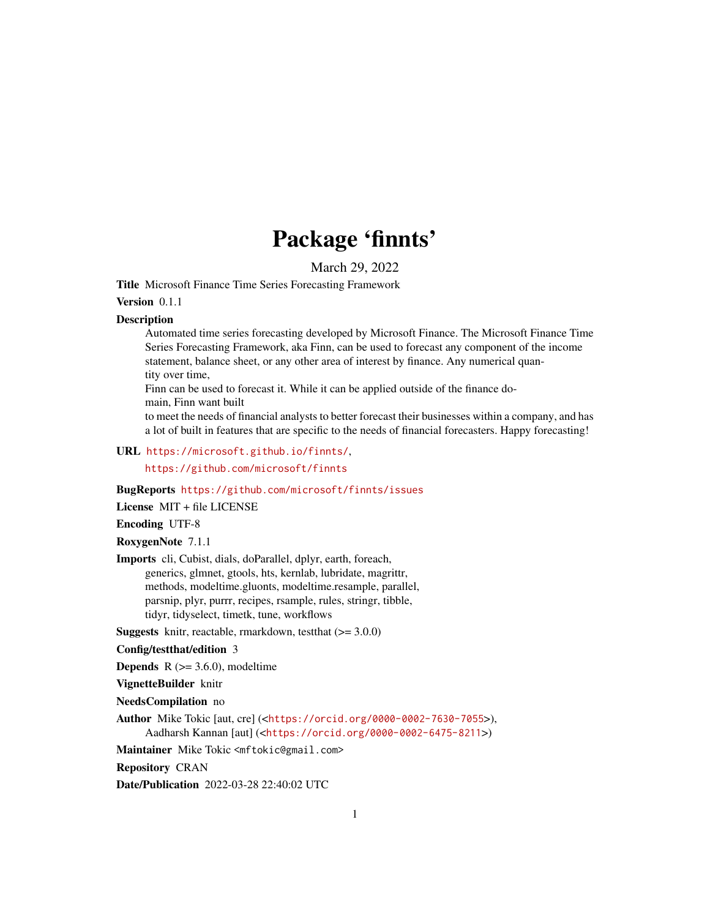## Package 'finnts'

March 29, 2022

Title Microsoft Finance Time Series Forecasting Framework

#### Version 0.1.1

#### Description

Automated time series forecasting developed by Microsoft Finance. The Microsoft Finance Time Series Forecasting Framework, aka Finn, can be used to forecast any component of the income statement, balance sheet, or any other area of interest by finance. Any numerical quantity over time,

Finn can be used to forecast it. While it can be applied outside of the finance domain, Finn want built

to meet the needs of financial analysts to better forecast their businesses within a company, and has a lot of built in features that are specific to the needs of financial forecasters. Happy forecasting!

#### URL <https://microsoft.github.io/finnts/>,

<https://github.com/microsoft/finnts>

#### BugReports <https://github.com/microsoft/finnts/issues>

License MIT + file LICENSE

#### Encoding UTF-8

RoxygenNote 7.1.1

Imports cli, Cubist, dials, doParallel, dplyr, earth, foreach, generics, glmnet, gtools, hts, kernlab, lubridate, magrittr, methods, modeltime.gluonts, modeltime.resample, parallel, parsnip, plyr, purrr, recipes, rsample, rules, stringr, tibble, tidyr, tidyselect, timetk, tune, workflows

**Suggests** knitr, reactable, rmarkdown, test that  $(>= 3.0.0)$ 

Config/testthat/edition 3

**Depends**  $R$  ( $>= 3.6.0$ ), modeltime

#### VignetteBuilder knitr

NeedsCompilation no

Author Mike Tokic [aut, cre] (<<https://orcid.org/0000-0002-7630-7055>>), Aadharsh Kannan [aut] (<<https://orcid.org/0000-0002-6475-8211>>)

Maintainer Mike Tokic <mftokic@gmail.com>

Repository CRAN

Date/Publication 2022-03-28 22:40:02 UTC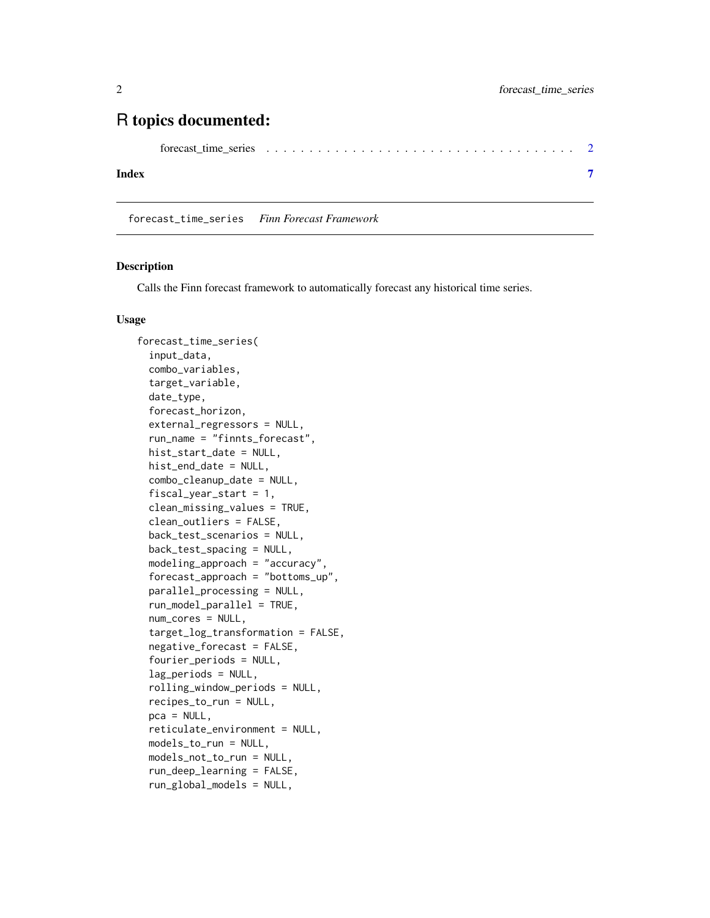## <span id="page-1-0"></span>R topics documented:

#### **Index** [7](#page-6-0)

forecast\_time\_series *Finn Forecast Framework*

#### Description

Calls the Finn forecast framework to automatically forecast any historical time series.

#### Usage

```
forecast_time_series(
  input_data,
  combo_variables,
  target_variable,
  date_type,
  forecast_horizon,
  external_regressors = NULL,
  run_name = "finnts_forecast",
  hist_start_date = NULL,
  hist_end_date = NULL,
  combo_cleanup_date = NULL,
  fiscal_year_start = 1,
  clean_missing_values = TRUE,
  clean_outliers = FALSE,
  back_test_scenarios = NULL,
  back_test_spacing = NULL,
  modeling_approach = "accuracy",
  forecast_approach = "bottoms_up",
  parallel_processing = NULL,
  run_model_parallel = TRUE,
  num_cores = NULL,
  target_log_transformation = FALSE,
  negative_forecast = FALSE,
  fourier_periods = NULL,
  lag_periods = NULL,
  rolling_window_periods = NULL,
  recipes_to_run = NULL,
  pca = NULL,
  reticulate_environment = NULL,
  models_to_run = NULL,
 models_not_to_run = NULL,
  run_deep_learning = FALSE,
  run_global_models = NULL,
```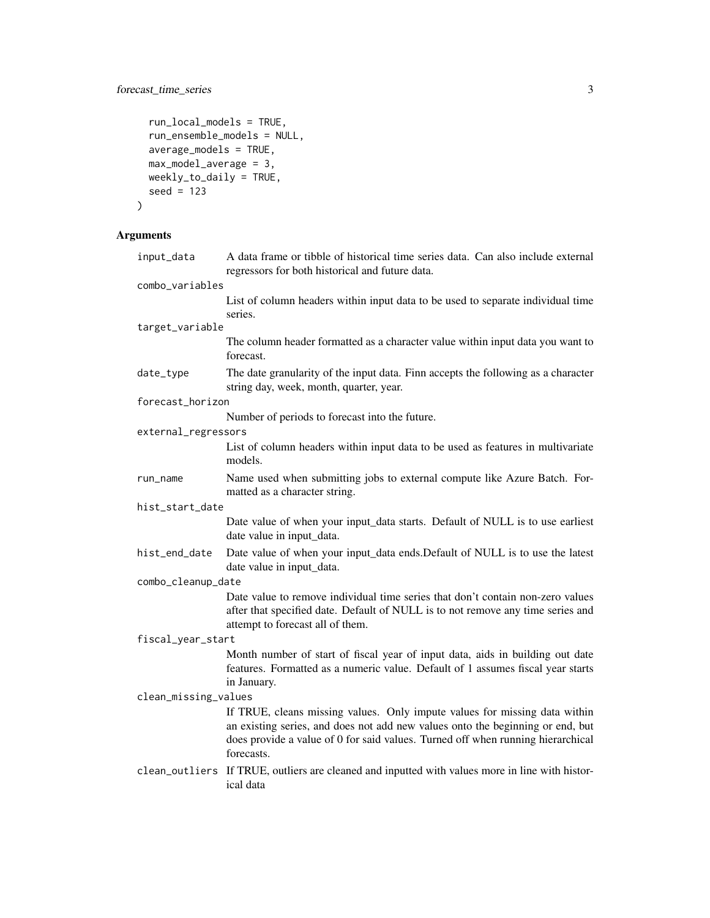## forecast\_time\_series 3

```
run_local_models = TRUE,
 run_ensemble_models = NULL,
 average_models = TRUE,
 max_model_average = 3,
 weakly_to\_daily = TRUE,seed = 123
\mathcal{L}
```
## Arguments

| input_data           | A data frame or tibble of historical time series data. Can also include external<br>regressors for both historical and future data.                                                                                                                           |
|----------------------|---------------------------------------------------------------------------------------------------------------------------------------------------------------------------------------------------------------------------------------------------------------|
| combo_variables      |                                                                                                                                                                                                                                                               |
|                      | List of column headers within input data to be used to separate individual time<br>series.                                                                                                                                                                    |
| target_variable      |                                                                                                                                                                                                                                                               |
|                      | The column header formatted as a character value within input data you want to<br>forecast.                                                                                                                                                                   |
| date_type            | The date granularity of the input data. Finn accepts the following as a character<br>string day, week, month, quarter, year.                                                                                                                                  |
| forecast_horizon     |                                                                                                                                                                                                                                                               |
|                      | Number of periods to forecast into the future.                                                                                                                                                                                                                |
| external_regressors  |                                                                                                                                                                                                                                                               |
|                      | List of column headers within input data to be used as features in multivariate<br>models.                                                                                                                                                                    |
| run_name             | Name used when submitting jobs to external compute like Azure Batch. For-<br>matted as a character string.                                                                                                                                                    |
| hist_start_date      |                                                                                                                                                                                                                                                               |
|                      | Date value of when your input_data starts. Default of NULL is to use earliest<br>date value in input_data.                                                                                                                                                    |
| hist_end_date        | Date value of when your input_data ends. Default of NULL is to use the latest<br>date value in input_data.                                                                                                                                                    |
| combo_cleanup_date   |                                                                                                                                                                                                                                                               |
|                      | Date value to remove individual time series that don't contain non-zero values<br>after that specified date. Default of NULL is to not remove any time series and<br>attempt to forecast all of them.                                                         |
| fiscal_year_start    |                                                                                                                                                                                                                                                               |
|                      | Month number of start of fiscal year of input data, aids in building out date<br>features. Formatted as a numeric value. Default of 1 assumes fiscal year starts<br>in January.                                                                               |
| clean_missing_values |                                                                                                                                                                                                                                                               |
|                      | If TRUE, cleans missing values. Only impute values for missing data within<br>an existing series, and does not add new values onto the beginning or end, but<br>does provide a value of 0 for said values. Turned off when running hierarchical<br>forecasts. |
| clean_outliers       | If TRUE, outliers are cleaned and inputted with values more in line with histor-<br>ical data                                                                                                                                                                 |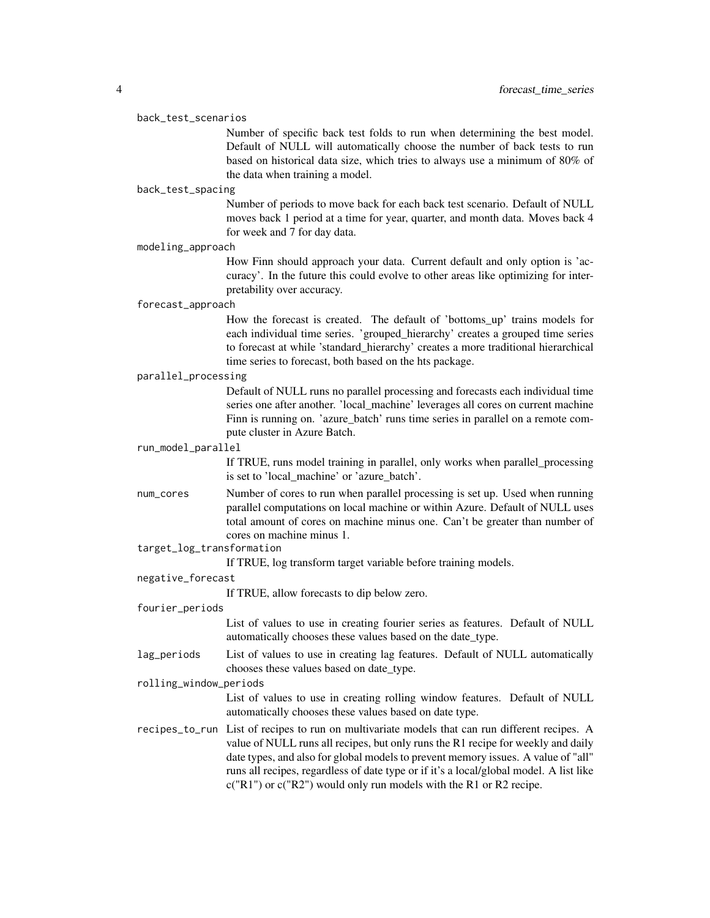#### back\_test\_scenarios

Number of specific back test folds to run when determining the best model. Default of NULL will automatically choose the number of back tests to run based on historical data size, which tries to always use a minimum of 80% of the data when training a model.

#### back\_test\_spacing

Number of periods to move back for each back test scenario. Default of NULL moves back 1 period at a time for year, quarter, and month data. Moves back 4 for week and 7 for day data.

modeling\_approach

How Finn should approach your data. Current default and only option is 'accuracy'. In the future this could evolve to other areas like optimizing for interpretability over accuracy.

#### forecast\_approach

How the forecast is created. The default of 'bottoms\_up' trains models for each individual time series. 'grouped\_hierarchy' creates a grouped time series to forecast at while 'standard\_hierarchy' creates a more traditional hierarchical time series to forecast, both based on the hts package.

#### parallel\_processing

Default of NULL runs no parallel processing and forecasts each individual time series one after another. 'local\_machine' leverages all cores on current machine Finn is running on. 'azure batch' runs time series in parallel on a remote compute cluster in Azure Batch.

#### run\_model\_parallel

If TRUE, runs model training in parallel, only works when parallel\_processing is set to 'local\_machine' or 'azure\_batch'.

- num\_cores Number of cores to run when parallel processing is set up. Used when running parallel computations on local machine or within Azure. Default of NULL uses total amount of cores on machine minus one. Can't be greater than number of cores on machine minus 1.
- target\_log\_transformation

If TRUE, log transform target variable before training models.

#### negative\_forecast

If TRUE, allow forecasts to dip below zero.

#### fourier\_periods

List of values to use in creating fourier series as features. Default of NULL automatically chooses these values based on the date\_type.

lag\_periods List of values to use in creating lag features. Default of NULL automatically chooses these values based on date\_type.

#### rolling\_window\_periods

List of values to use in creating rolling window features. Default of NULL automatically chooses these values based on date type.

recipes\_to\_run List of recipes to run on multivariate models that can run different recipes. A value of NULL runs all recipes, but only runs the R1 recipe for weekly and daily date types, and also for global models to prevent memory issues. A value of "all" runs all recipes, regardless of date type or if it's a local/global model. A list like c("R1") or c("R2") would only run models with the R1 or R2 recipe.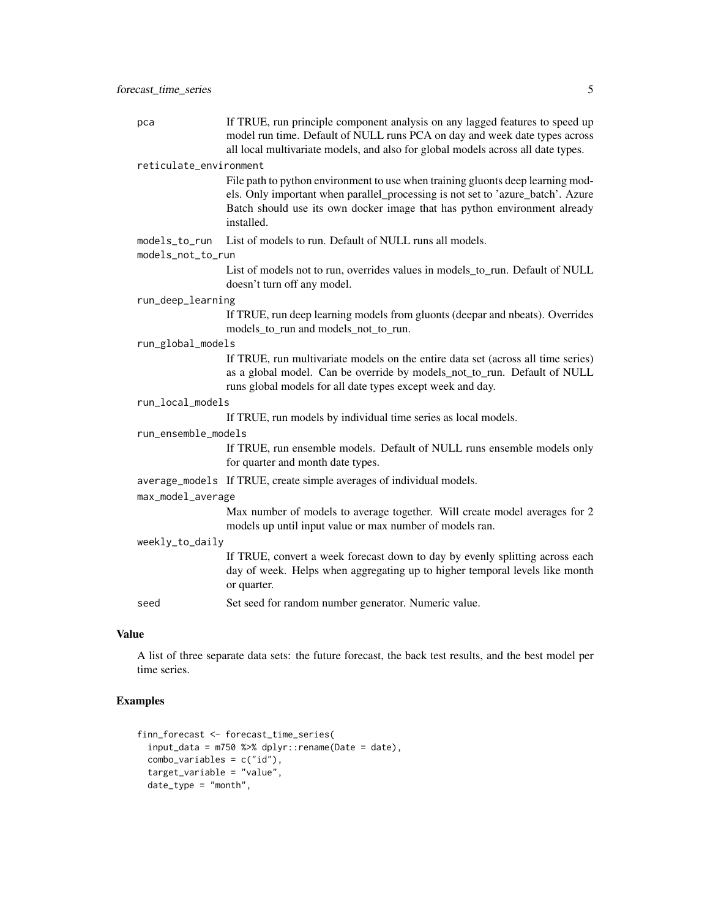| pca                    | If TRUE, run principle component analysis on any lagged features to speed up<br>model run time. Default of NULL runs PCA on day and week date types across<br>all local multivariate models, and also for global models across all date types.                |
|------------------------|---------------------------------------------------------------------------------------------------------------------------------------------------------------------------------------------------------------------------------------------------------------|
| reticulate_environment |                                                                                                                                                                                                                                                               |
|                        | File path to python environment to use when training gluonts deep learning mod-<br>els. Only important when parallel_processing is not set to 'azure_batch'. Azure<br>Batch should use its own docker image that has python environment already<br>installed. |
| models_to_run          | List of models to run. Default of NULL runs all models.                                                                                                                                                                                                       |
| models_not_to_run      |                                                                                                                                                                                                                                                               |
|                        | List of models not to run, overrides values in models_to_run. Default of NULL<br>doesn't turn off any model.                                                                                                                                                  |
| run_deep_learning      |                                                                                                                                                                                                                                                               |
|                        | If TRUE, run deep learning models from gluonts (deepar and nbeats). Overrides<br>models_to_run and models_not_to_run.                                                                                                                                         |
| run_global_models      |                                                                                                                                                                                                                                                               |
|                        | If TRUE, run multivariate models on the entire data set (across all time series)<br>as a global model. Can be override by models_not_to_run. Default of NULL<br>runs global models for all date types except week and day.                                    |
| run_local_models       |                                                                                                                                                                                                                                                               |
|                        | If TRUE, run models by individual time series as local models.                                                                                                                                                                                                |
| run_ensemble_models    |                                                                                                                                                                                                                                                               |
|                        | If TRUE, run ensemble models. Default of NULL runs ensemble models only<br>for quarter and month date types.                                                                                                                                                  |
|                        | average_models If TRUE, create simple averages of individual models.                                                                                                                                                                                          |
| max_model_average      |                                                                                                                                                                                                                                                               |
|                        | Max number of models to average together. Will create model averages for 2<br>models up until input value or max number of models ran.                                                                                                                        |
| weekly_to_daily        |                                                                                                                                                                                                                                                               |
|                        | If TRUE, convert a week forecast down to day by evenly splitting across each<br>day of week. Helps when aggregating up to higher temporal levels like month<br>or quarter.                                                                                    |
| seed                   | Set seed for random number generator. Numeric value.                                                                                                                                                                                                          |
|                        |                                                                                                                                                                                                                                                               |

#### Value

A list of three separate data sets: the future forecast, the back test results, and the best model per time series.

## Examples

```
finn_forecast <- forecast_time_series(
 input_data = m750 % * dplyr::rename(Date = date),
 combo_variables = c("id"),
  target_variable = "value",
  date_type = "month",
```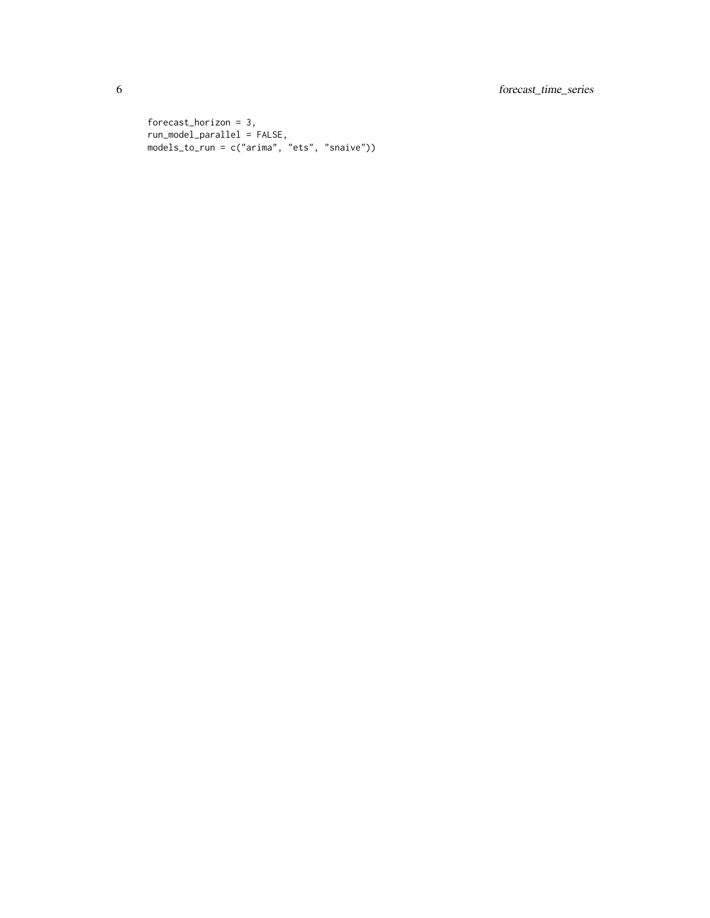```
forecast_horizon = 3,
run_model_parallel = FALSE,
models_to_run = c("arima", "ets", "snaive"))
```